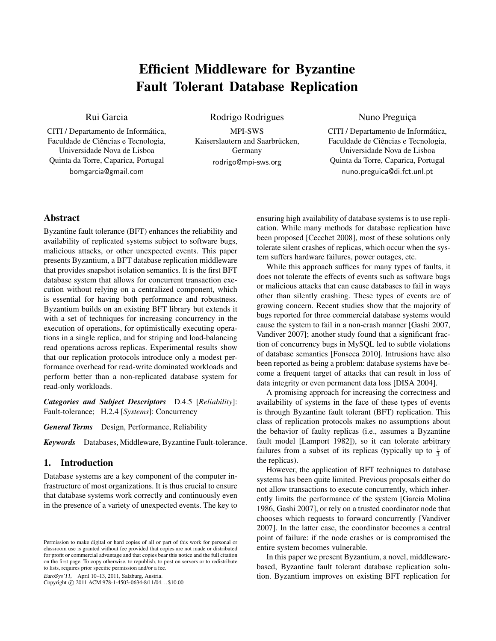# Efficient Middleware for Byzantine Fault Tolerant Database Replication

# Rui Garcia

CITI / Departamento de Informática, Faculdade de Ciências e Tecnologia, Universidade Nova de Lisboa Quinta da Torre, Caparica, Portugal bomgarcia@gmail.com

Rodrigo Rodrigues

MPI-SWS Kaiserslautern and Saarbrücken, Germany rodrigo@mpi-sws.org

## Nuno Preguiça

CITI / Departamento de Informatica, ´ Faculdade de Ciências e Tecnologia, Universidade Nova de Lisboa Quinta da Torre, Caparica, Portugal nuno.preguica@di.fct.unl.pt

# Abstract

Byzantine fault tolerance (BFT) enhances the reliability and availability of replicated systems subject to software bugs, malicious attacks, or other unexpected events. This paper presents Byzantium, a BFT database replication middleware that provides snapshot isolation semantics. It is the first BFT database system that allows for concurrent transaction execution without relying on a centralized component, which is essential for having both performance and robustness. Byzantium builds on an existing BFT library but extends it with a set of techniques for increasing concurrency in the execution of operations, for optimistically executing operations in a single replica, and for striping and load-balancing read operations across replicas. Experimental results show that our replication protocols introduce only a modest performance overhead for read-write dominated workloads and perform better than a non-replicated database system for read-only workloads.

*Categories and Subject Descriptors* D.4.5 [*Reliability*]: Fault-tolerance; H.2.4 [*Systems*]: Concurrency

*General Terms* Design, Performance, Reliability

*Keywords* Databases, Middleware, Byzantine Fault-tolerance.

# 1. Introduction

Database systems are a key component of the computer infrastructure of most organizations. It is thus crucial to ensure that database systems work correctly and continuously even in the presence of a variety of unexpected events. The key to

EuroSys'11, April 10–13, 2011, Salzburg, Austria.

Copyright © 2011 ACM 978-1-4503-0634-8/11/04... \$10.00

ensuring high availability of database systems is to use replication. While many methods for database replication have been proposed [Cecchet 2008], most of these solutions only tolerate silent crashes of replicas, which occur when the system suffers hardware failures, power outages, etc.

While this approach suffices for many types of faults, it does not tolerate the effects of events such as software bugs or malicious attacks that can cause databases to fail in ways other than silently crashing. These types of events are of growing concern. Recent studies show that the majority of bugs reported for three commercial database systems would cause the system to fail in a non-crash manner [Gashi 2007, Vandiver 2007]; another study found that a significant fraction of concurrency bugs in MySQL led to subtle violations of database semantics [Fonseca 2010]. Intrusions have also been reported as being a problem: database systems have become a frequent target of attacks that can result in loss of data integrity or even permanent data loss [DISA 2004].

A promising approach for increasing the correctness and availability of systems in the face of these types of events is through Byzantine fault tolerant (BFT) replication. This class of replication protocols makes no assumptions about the behavior of faulty replicas (i.e., assumes a Byzantine fault model [Lamport 1982]), so it can tolerate arbitrary failures from a subset of its replicas (typically up to  $\frac{1}{3}$  of the replicas).

However, the application of BFT techniques to database systems has been quite limited. Previous proposals either do not allow transactions to execute concurrently, which inherently limits the performance of the system [Garcia Molina 1986, Gashi 2007], or rely on a trusted coordinator node that chooses which requests to forward concurrently [Vandiver 2007]. In the latter case, the coordinator becomes a central point of failure: if the node crashes or is compromised the entire system becomes vulnerable.

In this paper we present Byzantium, a novel, middlewarebased, Byzantine fault tolerant database replication solution. Byzantium improves on existing BFT replication for

Permission to make digital or hard copies of all or part of this work for personal or classroom use is granted without fee provided that copies are not made or distributed for profit or commercial advantage and that copies bear this notice and the full citation on the first page. To copy otherwise, to republish, to post on servers or to redistribute to lists, requires prior specific permission and/or a fee.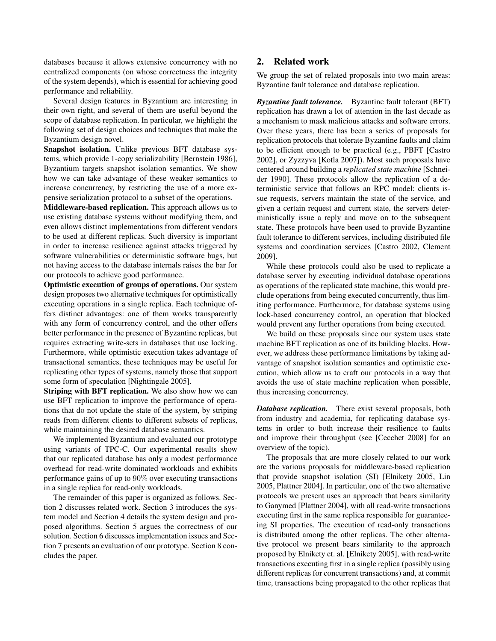databases because it allows extensive concurrency with no centralized components (on whose correctness the integrity of the system depends), which is essential for achieving good performance and reliability.

Several design features in Byzantium are interesting in their own right, and several of them are useful beyond the scope of database replication. In particular, we highlight the following set of design choices and techniques that make the Byzantium design novel.

Snapshot isolation. Unlike previous BFT database systems, which provide 1-copy serializability [Bernstein 1986], Byzantium targets snapshot isolation semantics. We show how we can take advantage of these weaker semantics to increase concurrency, by restricting the use of a more expensive serialization protocol to a subset of the operations.

Middleware-based replication. This approach allows us to use existing database systems without modifying them, and even allows distinct implementations from different vendors to be used at different replicas. Such diversity is important in order to increase resilience against attacks triggered by software vulnerabilities or deterministic software bugs, but not having access to the database internals raises the bar for our protocols to achieve good performance.

Optimistic execution of groups of operations. Our system design proposes two alternative techniques for optimistically executing operations in a single replica. Each technique offers distinct advantages: one of them works transparently with any form of concurrency control, and the other offers better performance in the presence of Byzantine replicas, but requires extracting write-sets in databases that use locking. Furthermore, while optimistic execution takes advantage of transactional semantics, these techniques may be useful for replicating other types of systems, namely those that support some form of speculation [Nightingale 2005].

Striping with BFT replication. We also show how we can use BFT replication to improve the performance of operations that do not update the state of the system, by striping reads from different clients to different subsets of replicas, while maintaining the desired database semantics.

We implemented Byzantium and evaluated our prototype using variants of TPC-C. Our experimental results show that our replicated database has only a modest performance overhead for read-write dominated workloads and exhibits performance gains of up to 90% over executing transactions in a single replica for read-only workloads.

The remainder of this paper is organized as follows. Section 2 discusses related work. Section 3 introduces the system model and Section 4 details the system design and proposed algorithms. Section 5 argues the correctness of our solution. Section 6 discusses implementation issues and Section 7 presents an evaluation of our prototype. Section 8 concludes the paper.

## 2. Related work

We group the set of related proposals into two main areas: Byzantine fault tolerance and database replication.

*Byzantine fault tolerance.* Byzantine fault tolerant (BFT) replication has drawn a lot of attention in the last decade as a mechanism to mask malicious attacks and software errors. Over these years, there has been a series of proposals for replication protocols that tolerate Byzantine faults and claim to be efficient enough to be practical (e.g., PBFT [Castro 2002], or Zyzzyva [Kotla 2007]). Most such proposals have centered around building a *replicated state machine* [Schneider 1990]. These protocols allow the replication of a deterministic service that follows an RPC model: clients issue requests, servers maintain the state of the service, and given a certain request and current state, the servers deterministically issue a reply and move on to the subsequent state. These protocols have been used to provide Byzantine fault tolerance to different services, including distributed file systems and coordination services [Castro 2002, Clement 2009].

While these protocols could also be used to replicate a database server by executing individual database operations as operations of the replicated state machine, this would preclude operations from being executed concurrently, thus limiting performance. Furthermore, for database systems using lock-based concurrency control, an operation that blocked would prevent any further operations from being executed.

We build on these proposals since our system uses state machine BFT replication as one of its building blocks. However, we address these performance limitations by taking advantage of snapshot isolation semantics and optimistic execution, which allow us to craft our protocols in a way that avoids the use of state machine replication when possible, thus increasing concurrency.

*Database replication.* There exist several proposals, both from industry and academia, for replicating database systems in order to both increase their resilience to faults and improve their throughput (see [Cecchet 2008] for an overview of the topic).

The proposals that are more closely related to our work are the various proposals for middleware-based replication that provide snapshot isolation (SI) [Elnikety 2005, Lin 2005, Plattner 2004]. In particular, one of the two alternative protocols we present uses an approach that bears similarity to Ganymed [Plattner 2004], with all read-write transactions executing first in the same replica responsible for guaranteeing SI properties. The execution of read-only transactions is distributed among the other replicas. The other alternative protocol we present bears similarity to the approach proposed by Elnikety et. al. [Elnikety 2005], with read-write transactions executing first in a single replica (possibly using different replicas for concurrent transactions) and, at commit time, transactions being propagated to the other replicas that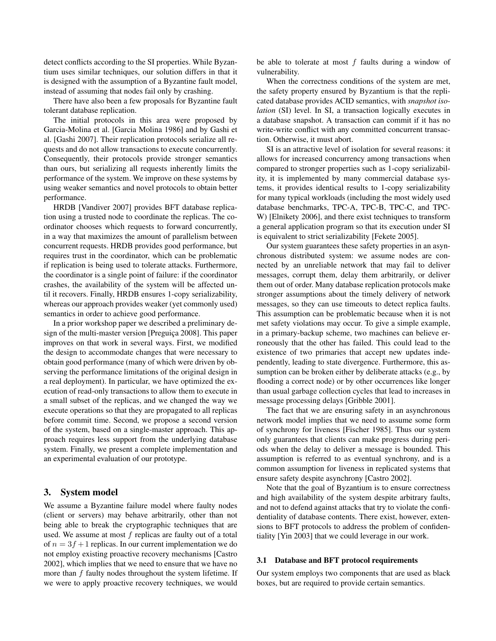detect conflicts according to the SI properties. While Byzantium uses similar techniques, our solution differs in that it is designed with the assumption of a Byzantine fault model, instead of assuming that nodes fail only by crashing.

There have also been a few proposals for Byzantine fault tolerant database replication.

The initial protocols in this area were proposed by Garcia-Molina et al. [Garcia Molina 1986] and by Gashi et al. [Gashi 2007]. Their replication protocols serialize all requests and do not allow transactions to execute concurrently. Consequently, their protocols provide stronger semantics than ours, but serializing all requests inherently limits the performance of the system. We improve on these systems by using weaker semantics and novel protocols to obtain better performance.

HRDB [Vandiver 2007] provides BFT database replication using a trusted node to coordinate the replicas. The coordinator chooses which requests to forward concurrently, in a way that maximizes the amount of parallelism between concurrent requests. HRDB provides good performance, but requires trust in the coordinator, which can be problematic if replication is being used to tolerate attacks. Furthermore, the coordinator is a single point of failure: if the coordinator crashes, the availability of the system will be affected until it recovers. Finally, HRDB ensures 1-copy serializability, whereas our approach provides weaker (yet commonly used) semantics in order to achieve good performance.

In a prior workshop paper we described a preliminary design of the multi-master version [Preguiça 2008]. This paper improves on that work in several ways. First, we modified the design to accommodate changes that were necessary to obtain good performance (many of which were driven by observing the performance limitations of the original design in a real deployment). In particular, we have optimized the execution of read-only transactions to allow them to execute in a small subset of the replicas, and we changed the way we execute operations so that they are propagated to all replicas before commit time. Second, we propose a second version of the system, based on a single-master approach. This approach requires less support from the underlying database system. Finally, we present a complete implementation and an experimental evaluation of our prototype.

## 3. System model

We assume a Byzantine failure model where faulty nodes (client or servers) may behave arbitrarily, other than not being able to break the cryptographic techniques that are used. We assume at most  $f$  replicas are faulty out of a total of  $n = 3f + 1$  replicas. In our current implementation we do not employ existing proactive recovery mechanisms [Castro 2002], which implies that we need to ensure that we have no more than  $f$  faulty nodes throughout the system lifetime. If we were to apply proactive recovery techniques, we would be able to tolerate at most  $f$  faults during a window of vulnerability.

When the correctness conditions of the system are met, the safety property ensured by Byzantium is that the replicated database provides ACID semantics, with *snapshot isolation* (SI) level. In SI, a transaction logically executes in a database snapshot. A transaction can commit if it has no write-write conflict with any committed concurrent transaction. Otherwise, it must abort.

SI is an attractive level of isolation for several reasons: it allows for increased concurrency among transactions when compared to stronger properties such as 1-copy serializability, it is implemented by many commercial database systems, it provides identical results to 1-copy serializability for many typical workloads (including the most widely used database benchmarks, TPC-A, TPC-B, TPC-C, and TPC-W) [Elnikety 2006], and there exist techniques to transform a general application program so that its execution under SI is equivalent to strict serializability [Fekete 2005].

Our system guarantees these safety properties in an asynchronous distributed system: we assume nodes are connected by an unreliable network that may fail to deliver messages, corrupt them, delay them arbitrarily, or deliver them out of order. Many database replication protocols make stronger assumptions about the timely delivery of network messages, so they can use timeouts to detect replica faults. This assumption can be problematic because when it is not met safety violations may occur. To give a simple example, in a primary-backup scheme, two machines can believe erroneously that the other has failed. This could lead to the existence of two primaries that accept new updates independently, leading to state divergence. Furthermore, this assumption can be broken either by deliberate attacks (e.g., by flooding a correct node) or by other occurrences like longer than usual garbage collection cycles that lead to increases in message processing delays [Gribble 2001].

The fact that we are ensuring safety in an asynchronous network model implies that we need to assume some form of synchrony for liveness [Fischer 1985]. Thus our system only guarantees that clients can make progress during periods when the delay to deliver a message is bounded. This assumption is referred to as eventual synchrony, and is a common assumption for liveness in replicated systems that ensure safety despite asynchrony [Castro 2002].

Note that the goal of Byzantium is to ensure correctness and high availability of the system despite arbitrary faults, and not to defend against attacks that try to violate the confidentiality of database contents. There exist, however, extensions to BFT protocols to address the problem of confidentiality [Yin 2003] that we could leverage in our work.

#### 3.1 Database and BFT protocol requirements

Our system employs two components that are used as black boxes, but are required to provide certain semantics.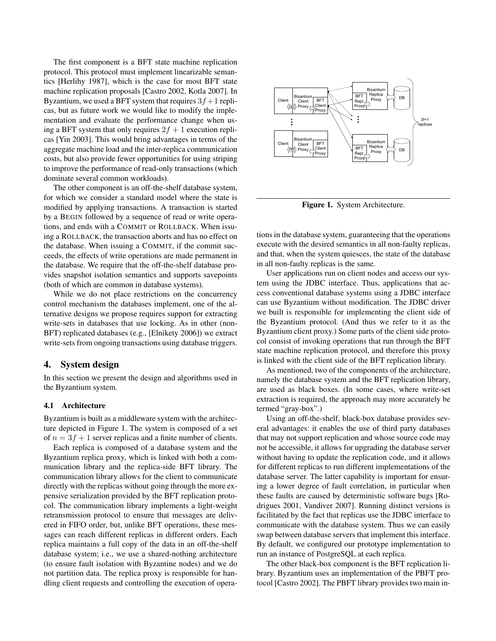The first component is a BFT state machine replication protocol. This protocol must implement linearizable semantics [Herlihy 1987], which is the case for most BFT state machine replication proposals [Castro 2002, Kotla 2007]. In Byzantium, we used a BFT system that requires  $3f + 1$  replicas, but as future work we would like to modify the implementation and evaluate the performance change when using a BFT system that only requires  $2f + 1$  execution replicas [Yin 2003]. This would bring advantages in terms of the aggregate machine load and the inter-replica communication costs, but also provide fewer opportunities for using striping to improve the performance of read-only transactions (which dominate several common workloads).

The other component is an off-the-shelf database system, for which we consider a standard model where the state is modified by applying transactions. A transaction is started by a BEGIN followed by a sequence of read or write operations, and ends with a COMMIT or ROLLBACK. When issuing a ROLLBACK, the transaction aborts and has no effect on the database. When issuing a COMMIT, if the commit succeeds, the effects of write operations are made permanent in the database. We require that the off-the-shelf database provides snapshot isolation semantics and supports savepoints (both of which are common in database systems).

While we do not place restrictions on the concurrency control mechanism the databases implement, one of the alternative designs we propose requires support for extracting write-sets in databases that use locking. As in other (non-BFT) replicated databases (e.g., [Elnikety 2006]) we extract write-sets from ongoing transactions using database triggers.

## 4. System design

In this section we present the design and algorithms used in the Byzantium system.

## 4.1 Architecture

Byzantium is built as a middleware system with the architecture depicted in Figure 1. The system is composed of a set of  $n = 3f + 1$  server replicas and a finite number of clients.

Each replica is composed of a database system and the Byzantium replica proxy, which is linked with both a communication library and the replica-side BFT library. The communication library allows for the client to communicate directly with the replicas without going through the more expensive serialization provided by the BFT replication protocol. The communication library implements a light-weight retransmission protocol to ensure that messages are delivered in FIFO order, but, unlike BFT operations, these messages can reach different replicas in different orders. Each replica maintains a full copy of the data in an off-the-shelf database system; i.e., we use a shared-nothing architecture (to ensure fault isolation with Byzantine nodes) and we do not partition data. The replica proxy is responsible for handling client requests and controlling the execution of opera-



Figure 1. System Architecture.

tions in the database system, guaranteeing that the operations execute with the desired semantics in all non-faulty replicas, and that, when the system quiesces, the state of the database in all non-faulty replicas is the same.

User applications run on client nodes and access our system using the JDBC interface. Thus, applications that access conventional database systems using a JDBC interface can use Byzantium without modification. The JDBC driver we built is responsible for implementing the client side of the Byzantium protocol. (And thus we refer to it as the Byzantium client proxy.) Some parts of the client side protocol consist of invoking operations that run through the BFT state machine replication protocol, and therefore this proxy is linked with the client side of the BFT replication library.

As mentioned, two of the components of the architecture, namely the database system and the BFT replication library, are used as black boxes. (In some cases, where write-set extraction is required, the approach may more accurately be termed "gray-box".)

Using an off-the-shelf, black-box database provides several advantages: it enables the use of third party databases that may not support replication and whose source code may not be accessible, it allows for upgrading the database server without having to update the replication code, and it allows for different replicas to run different implementations of the database server. The latter capability is important for ensuring a lower degree of fault correlation, in particular when these faults are caused by deterministic software bugs [Rodrigues 2001, Vandiver 2007]. Running distinct versions is facilitated by the fact that replicas use the JDBC interface to communicate with the database system. Thus we can easily swap between database servers that implement this interface. By default, we configured our prototype implementation to run an instance of PostgreSQL at each replica.

The other black-box component is the BFT replication library. Byzantium uses an implementation of the PBFT protocol [Castro 2002]. The PBFT library provides two main in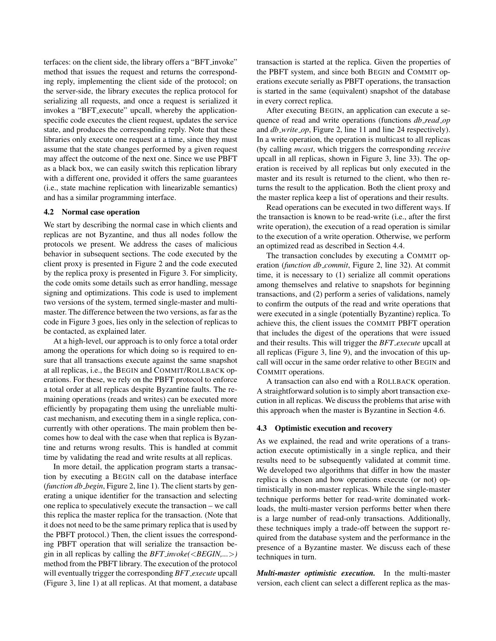terfaces: on the client side, the library offers a "BFT invoke" method that issues the request and returns the corresponding reply, implementing the client side of the protocol; on the server-side, the library executes the replica protocol for serializing all requests, and once a request is serialized it invokes a "BFT execute" upcall, whereby the applicationspecific code executes the client request, updates the service state, and produces the corresponding reply. Note that these libraries only execute one request at a time, since they must assume that the state changes performed by a given request may affect the outcome of the next one. Since we use PBFT as a black box, we can easily switch this replication library with a different one, provided it offers the same guarantees (i.e., state machine replication with linearizable semantics) and has a similar programming interface.

#### 4.2 Normal case operation

We start by describing the normal case in which clients and replicas are not Byzantine, and thus all nodes follow the protocols we present. We address the cases of malicious behavior in subsequent sections. The code executed by the client proxy is presented in Figure 2 and the code executed by the replica proxy is presented in Figure 3. For simplicity, the code omits some details such as error handling, message signing and optimizations. This code is used to implement two versions of the system, termed single-master and multimaster. The difference between the two versions, as far as the code in Figure 3 goes, lies only in the selection of replicas to be contacted, as explained later.

At a high-level, our approach is to only force a total order among the operations for which doing so is required to ensure that all transactions execute against the same snapshot at all replicas, i.e., the BEGIN and COMMIT/ROLLBACK operations. For these, we rely on the PBFT protocol to enforce a total order at all replicas despite Byzantine faults. The remaining operations (reads and writes) can be executed more efficiently by propagating them using the unreliable multicast mechanism, and executing them in a single replica, concurrently with other operations. The main problem then becomes how to deal with the case when that replica is Byzantine and returns wrong results. This is handled at commit time by validating the read and write results at all replicas.

In more detail, the application program starts a transaction by executing a BEGIN call on the database interface (*function db begin*, Figure 2, line 1). The client starts by generating a unique identifier for the transaction and selecting one replica to speculatively execute the transaction – we call this replica the master replica for the transaction. (Note that it does not need to be the same primary replica that is used by the PBFT protocol.) Then, the client issues the corresponding PBFT operation that will serialize the transaction begin in all replicas by calling the *BFT invoke(*<*BEGIN,...*>*)* method from the PBFT library. The execution of the protocol will eventually trigger the corresponding *BFT execute* upcall (Figure 3, line 1) at all replicas. At that moment, a database

transaction is started at the replica. Given the properties of the PBFT system, and since both BEGIN and COMMIT operations execute serially as PBFT operations, the transaction is started in the same (equivalent) snapshot of the database in every correct replica.

After executing BEGIN, an application can execute a sequence of read and write operations (functions *db read op* and *db write op*, Figure 2, line 11 and line 24 respectively). In a write operation, the operation is multicast to all replicas (by calling *mcast*, which triggers the corresponding *receive* upcall in all replicas, shown in Figure 3, line 33). The operation is received by all replicas but only executed in the master and its result is returned to the client, who then returns the result to the application. Both the client proxy and the master replica keep a list of operations and their results.

Read operations can be executed in two different ways. If the transaction is known to be read-write (i.e., after the first write operation), the execution of a read operation is similar to the execution of a write operation. Otherwise, we perform an optimized read as described in Section 4.4.

The transaction concludes by executing a COMMIT operation (*function db commit*, Figure 2, line 32). At commit time, it is necessary to (1) serialize all commit operations among themselves and relative to snapshots for beginning transactions, and (2) perform a series of validations, namely to confirm the outputs of the read and write operations that were executed in a single (potentially Byzantine) replica. To achieve this, the client issues the COMMIT PBFT operation that includes the digest of the operations that were issued and their results. This will trigger the *BFT execute* upcall at all replicas (Figure 3, line 9), and the invocation of this upcall will occur in the same order relative to other BEGIN and COMMIT operations.

A transaction can also end with a ROLLBACK operation. A straightforward solution is to simply abort transaction execution in all replicas. We discuss the problems that arise with this approach when the master is Byzantine in Section 4.6.

#### 4.3 Optimistic execution and recovery

As we explained, the read and write operations of a transaction execute optimistically in a single replica, and their results need to be subsequently validated at commit time. We developed two algorithms that differ in how the master replica is chosen and how operations execute (or not) optimistically in non-master replicas. While the single-master technique performs better for read-write dominated workloads, the multi-master version performs better when there is a large number of read-only transactions. Additionally, these techniques imply a trade-off between the support required from the database system and the performance in the presence of a Byzantine master. We discuss each of these techniques in turn.

*Multi-master optimistic execution.* In the multi-master version, each client can select a different replica as the mas-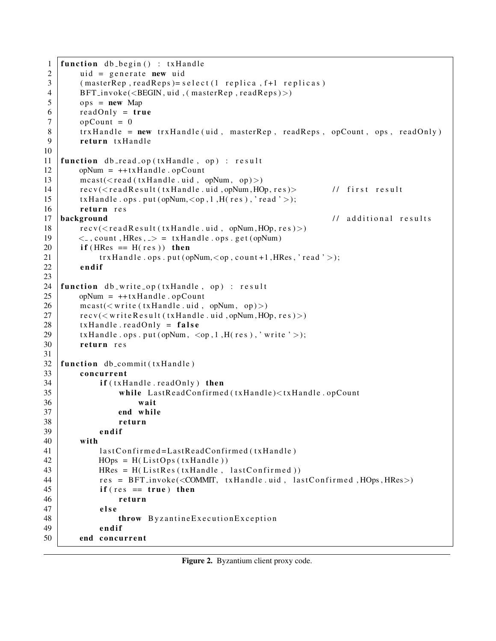```
1 function db begin () : tx H and le
2 uid = generate new uid
3 (masterRep, readReps) = select (1 replica, f+1 replicas)
4 BFT invoke (<BEGIN, uid, (masterRep, readReps)>)
5 \mid \text{ops} = \text{new } \text{Map}6 readOnly = true
7 \mid \text{opCount} = 08 trx H and le = new trx H and le (uid, master Rep, read Reps, opCount, ops, read Only)
9 return txHandle
10
11 | function db_{read\_op} (txHandle, op) : result
12 opNum = ++tx H and le . opCount
13 m cast(\langle read (tx H and le . uid, opNum, op)>)
14 recv(<readResult(txHandle.uid,opNum, HOp, res)> // first result
15 \vert tx H and le . ops. put (opNum, < op, 1, H(res), 'read '>);
16 return res
17 background learning learning learning learning learning learning learning learning learning learning learning learning learning learning learning learning learning learning le
18 | recv(\langle read Result (tx H and le. uid, opNum, HOp, res) >)
19 < , c o u nt , HRes , > = t x H a n dl e . o p s . g e t ( opNum )
20 if (HRes = H(res)) then
21 trx H and le . ops . put (opNum, \langle op , count +1, HRes, ' read ' >);
22 endif
23
24 function db_write_op(txHandle, op) : result<br>25 opNum = ++txHandle.opCount
        opNum = ++tx Handle . opCount26 mcast(\langle write (txHandle . uid, opNum, op)>)
27 | recv(\langle writeResult(txHandle.uid, opNum, HOp, res)>)
28 tx H and le . r e ad Only = false
29 \vert tx H and le . ops . put (opNum, \langleop, 1, H(res), 'write '>);
30 return res
31
32 function db_commit (tx Handle)
33 concurrent
34 if (tx \text{H} and le. read Only) then
35 while LastReadConfirmed (txHandle)<txHandle.opCount
36 wait
37 end while
38 return
39 end if
40 with
41 | lastConfirmed=LastReadConfirmed (txHandle)
42 | HOps = H(ListOps (txHandle))
43 HRes = H(ListRes (txHandle, lastConfirmed))
\begin{array}{c} 44 \mid \\ \text{res} = \text{BFT\_invoke}(\leq \text{COMMIT}, \text{txHandle } \text{.uid}, \text{lastConfirmed }, \text{HOps }, \text{HRes}) \end{array}45 if (res == true) then
46 return
47 else
48 | throw Byzantine Execution Exception
49 endif
50 end concurrent
```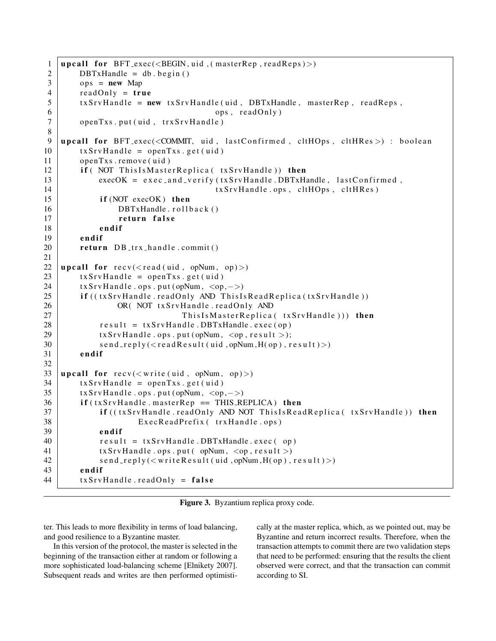```
1 | upcall for BFT\_exec(<BEGIN,uid, (masterRep, readReps))
2 DBTxHandle = db. begin ()
3 \mid \text{ops} = \text{new Map}4 \mid readOnly = true
5 txSrvHandle = new txSrvHandle (uid, DBTxHandle, masterRep, readReps,
6 \mid ops, readOnly)
7 openTxs. put (uid, trxSrvHandle)
8
9 | upcall for BFT_exec(<COMMIT, uid, lastConfirmed, cltHOps, cltHRes >) : boolean
10 txSrvHandle = openTxs.get(uid)
11 openTxs.remove(uid)
12 if (NOT This Is Master Replica (tx Srv Handle)) then
13 execOK = exec_and_verify (txSrvHandle. DBTxHandle, lastConfirmed,
14 tx S rv H and le . ops, clt HOps, clt HR e s )
15 if (NOT execOK) then
16 DBTxHandle . rollback ()
17 return false
18 endif
19 endif
20 return DB_trx_handle.commit()
21
22 | upcall for \text{recv}(< \text{read} ( uid , opNum, op )>)
23 txSrvHandle = openTxs.get(uid)
24 \vert txSrvHandle.ops.put (opNum, \langleop,->)
25 if ((txSrvHandle.readOnly AND ThisIsReadReplica(txSrvHandle))26 OR( NOT txSrvHandle readOnly AND
27 This Is Master Replica (tx S rv Handle)) ) then
28 result = txSrvHandle.DBTxHandle.exec(op)
29 \vert txSrvHandle.ops.put(opNum, \langleop,result \rangle);
30 send_reply(<readResult(uid ,opNum,H(op), result \rangle)
31 endif
32
33 | upcall for \text{recv}(\leq \text{write}(\text{uid}, \text{ opNum}, \text{op})>)34 txSrvHandle = openTxs.get(uid)
35 txSrvHandle.ops.put(opNum, \langle op, -\rangle)
36 if (txSrvHandle masterRep == THIS_REPLICA) then
37 if ((txSrvHandle readOnly AND NOT ThisIsReadReplica (txSrvHandle)) then
38 ExecReadPrefix (trxHandle.ops)
39 end if
40 \vert result = txSrvHandle. DBTxHandle. exec (op)
41 \vert txSrvHandle.ops.put(opNum, \langleop,result \rangle)
42 \vert send_reply(\langle write Result (uid , opNum, H(op), result \rangle)
43 endif
44 txSrvHandle.readOnly = false
```
Figure 3. Byzantium replica proxy code.

ter. This leads to more flexibility in terms of load balancing, and good resilience to a Byzantine master.

In this version of the protocol, the master is selected in the beginning of the transaction either at random or following a more sophisticated load-balancing scheme [Elnikety 2007]. Subsequent reads and writes are then performed optimistically at the master replica, which, as we pointed out, may be Byzantine and return incorrect results. Therefore, when the transaction attempts to commit there are two validation steps that need to be performed: ensuring that the results the client observed were correct, and that the transaction can commit according to SI.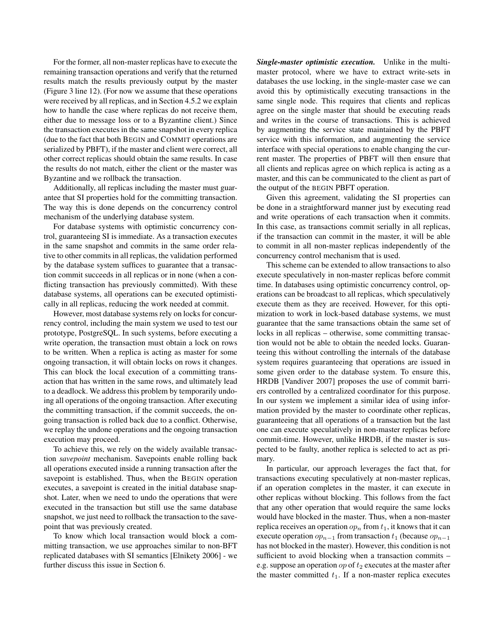For the former, all non-master replicas have to execute the remaining transaction operations and verify that the returned results match the results previously output by the master (Figure 3 line 12). (For now we assume that these operations were received by all replicas, and in Section 4.5.2 we explain how to handle the case where replicas do not receive them, either due to message loss or to a Byzantine client.) Since the transaction executes in the same snapshot in every replica (due to the fact that both BEGIN and COMMIT operations are serialized by PBFT), if the master and client were correct, all other correct replicas should obtain the same results. In case the results do not match, either the client or the master was Byzantine and we rollback the transaction.

Additionally, all replicas including the master must guarantee that SI properties hold for the committing transaction. The way this is done depends on the concurrency control mechanism of the underlying database system.

For database systems with optimistic concurrency control, guaranteeing SI is immediate. As a transaction executes in the same snapshot and commits in the same order relative to other commits in all replicas, the validation performed by the database system suffices to guarantee that a transaction commit succeeds in all replicas or in none (when a conflicting transaction has previously committed). With these database systems, all operations can be executed optimistically in all replicas, reducing the work needed at commit.

However, most database systems rely on locks for concurrency control, including the main system we used to test our prototype, PostgreSQL. In such systems, before executing a write operation, the transaction must obtain a lock on rows to be written. When a replica is acting as master for some ongoing transaction, it will obtain locks on rows it changes. This can block the local execution of a committing transaction that has written in the same rows, and ultimately lead to a deadlock. We address this problem by temporarily undoing all operations of the ongoing transaction. After executing the committing transaction, if the commit succeeds, the ongoing transaction is rolled back due to a conflict. Otherwise, we replay the undone operations and the ongoing transaction execution may proceed.

To achieve this, we rely on the widely available transaction *savepoint* mechanism. Savepoints enable rolling back all operations executed inside a running transaction after the savepoint is established. Thus, when the BEGIN operation executes, a savepoint is created in the initial database snapshot. Later, when we need to undo the operations that were executed in the transaction but still use the same database snapshot, we just need to rollback the transaction to the savepoint that was previously created.

To know which local transaction would block a committing transaction, we use approaches similar to non-BFT replicated databases with SI semantics [Elnikety 2006] - we further discuss this issue in Section 6.

*Single-master optimistic execution.* Unlike in the multimaster protocol, where we have to extract write-sets in databases the use locking, in the single-master case we can avoid this by optimistically executing transactions in the same single node. This requires that clients and replicas agree on the single master that should be executing reads and writes in the course of transactions. This is achieved by augmenting the service state maintained by the PBFT service with this information, and augmenting the service interface with special operations to enable changing the current master. The properties of PBFT will then ensure that all clients and replicas agree on which replica is acting as a master, and this can be communicated to the client as part of the output of the BEGIN PBFT operation.

Given this agreement, validating the SI properties can be done in a straightforward manner just by executing read and write operations of each transaction when it commits. In this case, as transactions commit serially in all replicas, if the transaction can commit in the master, it will be able to commit in all non-master replicas independently of the concurrency control mechanism that is used.

This scheme can be extended to allow transactions to also execute speculatively in non-master replicas before commit time. In databases using optimistic concurrency control, operations can be broadcast to all replicas, which speculatively execute them as they are received. However, for this optimization to work in lock-based database systems, we must guarantee that the same transactions obtain the same set of locks in all replicas – otherwise, some committing transaction would not be able to obtain the needed locks. Guaranteeing this without controlling the internals of the database system requires guaranteeing that operations are issued in some given order to the database system. To ensure this, HRDB [Vandiver 2007] proposes the use of commit barriers controlled by a centralized coordinator for this purpose. In our system we implement a similar idea of using information provided by the master to coordinate other replicas, guaranteeing that all operations of a transaction but the last one can execute speculatively in non-master replicas before commit-time. However, unlike HRDB, if the master is suspected to be faulty, another replica is selected to act as primary.

In particular, our approach leverages the fact that, for transactions executing speculatively at non-master replicas, if an operation completes in the master, it can execute in other replicas without blocking. This follows from the fact that any other operation that would require the same locks would have blocked in the master. Thus, when a non-master replica receives an operation  $op<sub>n</sub>$  from  $t<sub>1</sub>$ , it knows that it can execute operation  $op_{n-1}$  from transaction  $t_1$  (because  $op_{n-1}$ has not blocked in the master). However, this condition is not sufficient to avoid blocking when a transaction commits – e.g. suppose an operation  $op$  of  $t_2$  executes at the master after the master committed  $t_1$ . If a non-master replica executes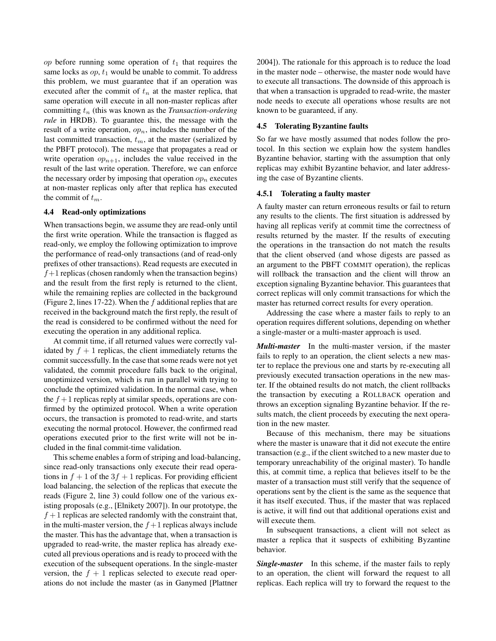op before running some operation of  $t_1$  that requires the same locks as  $op, t_1$  would be unable to commit. To address this problem, we must guarantee that if an operation was executed after the commit of  $t_n$  at the master replica, that same operation will execute in all non-master replicas after committing  $t_n$  (this was known as the *Transaction-ordering rule* in HRDB). To guarantee this, the message with the result of a write operation,  $op_n$ , includes the number of the last committed transaction,  $t_m$ , at the master (serialized by the PBFT protocol). The message that propagates a read or write operation  $op_{n+1}$ , includes the value received in the result of the last write operation. Therefore, we can enforce the necessary order by imposing that operation  $op_n$  executes at non-master replicas only after that replica has executed the commit of  $t_m$ .

#### 4.4 Read-only optimizations

When transactions begin, we assume they are read-only until the first write operation. While the transaction is flagged as read-only, we employ the following optimization to improve the performance of read-only transactions (and of read-only prefixes of other transactions). Read requests are executed in  $f+1$  replicas (chosen randomly when the transaction begins) and the result from the first reply is returned to the client, while the remaining replies are collected in the background (Figure 2, lines 17-22). When the  $f$  additional replies that are received in the background match the first reply, the result of the read is considered to be confirmed without the need for executing the operation in any additional replica.

At commit time, if all returned values were correctly validated by  $f + 1$  replicas, the client immediately returns the commit successfully. In the case that some reads were not yet validated, the commit procedure falls back to the original, unoptimized version, which is run in parallel with trying to conclude the optimized validation. In the normal case, when the  $f + 1$  replicas reply at similar speeds, operations are confirmed by the optimized protocol. When a write operation occurs, the transaction is promoted to read-write, and starts executing the normal protocol. However, the confirmed read operations executed prior to the first write will not be included in the final commit-time validation.

This scheme enables a form of striping and load-balancing, since read-only transactions only execute their read operations in  $f + 1$  of the  $3f + 1$  replicas. For providing efficient load balancing, the selection of the replicas that execute the reads (Figure 2, line 3) could follow one of the various existing proposals (e.g., [Elnikety 2007]). In our prototype, the  $f + 1$  replicas are selected randomly with the constraint that, in the multi-master version, the  $f+1$  replicas always include the master. This has the advantage that, when a transaction is upgraded to read-write, the master replica has already executed all previous operations and is ready to proceed with the execution of the subsequent operations. In the single-master version, the  $f + 1$  replicas selected to execute read operations do not include the master (as in Ganymed [Plattner

2004]). The rationale for this approach is to reduce the load in the master node – otherwise, the master node would have to execute all transactions. The downside of this approach is that when a transaction is upgraded to read-write, the master node needs to execute all operations whose results are not known to be guaranteed, if any.

#### 4.5 Tolerating Byzantine faults

So far we have mostly assumed that nodes follow the protocol. In this section we explain how the system handles Byzantine behavior, starting with the assumption that only replicas may exhibit Byzantine behavior, and later addressing the case of Byzantine clients.

#### 4.5.1 Tolerating a faulty master

A faulty master can return erroneous results or fail to return any results to the clients. The first situation is addressed by having all replicas verify at commit time the correctness of results returned by the master. If the results of executing the operations in the transaction do not match the results that the client observed (and whose digests are passed as an argument to the PBFT COMMIT operation), the replicas will rollback the transaction and the client will throw an exception signaling Byzantine behavior. This guarantees that correct replicas will only commit transactions for which the master has returned correct results for every operation.

Addressing the case where a master fails to reply to an operation requires different solutions, depending on whether a single-master or a multi-master approach is used.

*Multi-master* In the multi-master version, if the master fails to reply to an operation, the client selects a new master to replace the previous one and starts by re-executing all previously executed transaction operations in the new master. If the obtained results do not match, the client rollbacks the transaction by executing a ROLLBACK operation and throws an exception signaling Byzantine behavior. If the results match, the client proceeds by executing the next operation in the new master.

Because of this mechanism, there may be situations where the master is unaware that it did not execute the entire transaction (e.g., if the client switched to a new master due to temporary unreachability of the original master). To handle this, at commit time, a replica that believes itself to be the master of a transaction must still verify that the sequence of operations sent by the client is the same as the sequence that it has itself executed. Thus, if the master that was replaced is active, it will find out that additional operations exist and will execute them.

In subsequent transactions, a client will not select as master a replica that it suspects of exhibiting Byzantine behavior.

*Single-master* In this scheme, if the master fails to reply to an operation, the client will forward the request to all replicas. Each replica will try to forward the request to the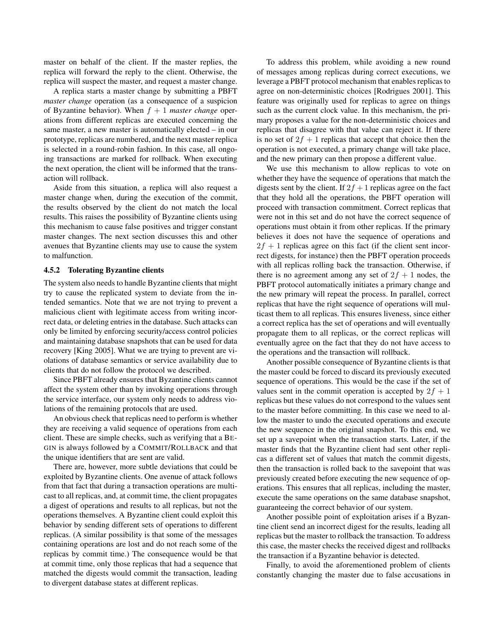master on behalf of the client. If the master replies, the replica will forward the reply to the client. Otherwise, the replica will suspect the master, and request a master change.

A replica starts a master change by submitting a PBFT *master change* operation (as a consequence of a suspicion of Byzantine behavior). When  $f + 1$  *master change* operations from different replicas are executed concerning the same master, a new master is automatically elected – in our prototype, replicas are numbered, and the next master replica is selected in a round-robin fashion. In this case, all ongoing transactions are marked for rollback. When executing the next operation, the client will be informed that the transaction will rollback.

Aside from this situation, a replica will also request a master change when, during the execution of the commit, the results observed by the client do not match the local results. This raises the possibility of Byzantine clients using this mechanism to cause false positives and trigger constant master changes. The next section discusses this and other avenues that Byzantine clients may use to cause the system to malfunction.

#### 4.5.2 Tolerating Byzantine clients

The system also needs to handle Byzantine clients that might try to cause the replicated system to deviate from the intended semantics. Note that we are not trying to prevent a malicious client with legitimate access from writing incorrect data, or deleting entries in the database. Such attacks can only be limited by enforcing security/access control policies and maintaining database snapshots that can be used for data recovery [King 2005]. What we are trying to prevent are violations of database semantics or service availability due to clients that do not follow the protocol we described.

Since PBFT already ensures that Byzantine clients cannot affect the system other than by invoking operations through the service interface, our system only needs to address violations of the remaining protocols that are used.

An obvious check that replicas need to perform is whether they are receiving a valid sequence of operations from each client. These are simple checks, such as verifying that a BE-GIN is always followed by a COMMIT/ROLLBACK and that the unique identifiers that are sent are valid.

There are, however, more subtle deviations that could be exploited by Byzantine clients. One avenue of attack follows from that fact that during a transaction operations are multicast to all replicas, and, at commit time, the client propagates a digest of operations and results to all replicas, but not the operations themselves. A Byzantine client could exploit this behavior by sending different sets of operations to different replicas. (A similar possibility is that some of the messages containing operations are lost and do not reach some of the replicas by commit time.) The consequence would be that at commit time, only those replicas that had a sequence that matched the digests would commit the transaction, leading to divergent database states at different replicas.

To address this problem, while avoiding a new round of messages among replicas during correct executions, we leverage a PBFT protocol mechanism that enables replicas to agree on non-deterministic choices [Rodrigues 2001]. This feature was originally used for replicas to agree on things such as the current clock value. In this mechanism, the primary proposes a value for the non-deterministic choices and replicas that disagree with that value can reject it. If there is no set of  $2f + 1$  replicas that accept that choice then the operation is not executed, a primary change will take place, and the new primary can then propose a different value.

We use this mechanism to allow replicas to vote on whether they have the sequence of operations that match the digests sent by the client. If  $2f + 1$  replicas agree on the fact that they hold all the operations, the PBFT operation will proceed with transaction commitment. Correct replicas that were not in this set and do not have the correct sequence of operations must obtain it from other replicas. If the primary believes it does not have the sequence of operations and  $2f + 1$  replicas agree on this fact (if the client sent incorrect digests, for instance) then the PBFT operation proceeds with all replicas rolling back the transaction. Otherwise, if there is no agreement among any set of  $2f + 1$  nodes, the PBFT protocol automatically initiates a primary change and the new primary will repeat the process. In parallel, correct replicas that have the right sequence of operations will multicast them to all replicas. This ensures liveness, since either a correct replica has the set of operations and will eventually propagate them to all replicas, or the correct replicas will eventually agree on the fact that they do not have access to the operations and the transaction will rollback.

Another possible consequence of Byzantine clients is that the master could be forced to discard its previously executed sequence of operations. This would be the case if the set of values sent in the commit operation is accepted by  $2f + 1$ replicas but these values do not correspond to the values sent to the master before committing. In this case we need to allow the master to undo the executed operations and execute the new sequence in the original snapshot. To this end, we set up a savepoint when the transaction starts. Later, if the master finds that the Byzantine client had sent other replicas a different set of values that match the commit digests, then the transaction is rolled back to the savepoint that was previously created before executing the new sequence of operations. This ensures that all replicas, including the master, execute the same operations on the same database snapshot, guaranteeing the correct behavior of our system.

Another possible point of exploitation arises if a Byzantine client send an incorrect digest for the results, leading all replicas but the master to rollback the transaction. To address this case, the master checks the received digest and rollbacks the transaction if a Byzantine behavior is detected.

Finally, to avoid the aforementioned problem of clients constantly changing the master due to false accusations in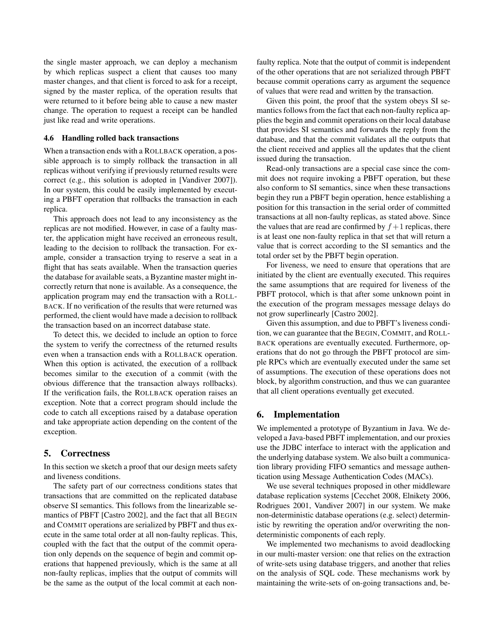the single master approach, we can deploy a mechanism by which replicas suspect a client that causes too many master changes, and that client is forced to ask for a receipt, signed by the master replica, of the operation results that were returned to it before being able to cause a new master change. The operation to request a receipt can be handled just like read and write operations.

#### 4.6 Handling rolled back transactions

When a transaction ends with a ROLLBACK operation, a possible approach is to simply rollback the transaction in all replicas without verifying if previously returned results were correct (e.g., this solution is adopted in [Vandiver 2007]). In our system, this could be easily implemented by executing a PBFT operation that rollbacks the transaction in each replica.

This approach does not lead to any inconsistency as the replicas are not modified. However, in case of a faulty master, the application might have received an erroneous result, leading to the decision to rollback the transaction. For example, consider a transaction trying to reserve a seat in a flight that has seats available. When the transaction queries the database for available seats, a Byzantine master might incorrectly return that none is available. As a consequence, the application program may end the transaction with a ROLL-BACK. If no verification of the results that were returned was performed, the client would have made a decision to rollback the transaction based on an incorrect database state.

To detect this, we decided to include an option to force the system to verify the correctness of the returned results even when a transaction ends with a ROLLBACK operation. When this option is activated, the execution of a rollback becomes similar to the execution of a commit (with the obvious difference that the transaction always rollbacks). If the verification fails, the ROLLBACK operation raises an exception. Note that a correct program should include the code to catch all exceptions raised by a database operation and take appropriate action depending on the content of the exception.

# 5. Correctness

In this section we sketch a proof that our design meets safety and liveness conditions.

The safety part of our correctness conditions states that transactions that are committed on the replicated database observe SI semantics. This follows from the linearizable semantics of PBFT [Castro 2002], and the fact that all BEGIN and COMMIT operations are serialized by PBFT and thus execute in the same total order at all non-faulty replicas. This, coupled with the fact that the output of the commit operation only depends on the sequence of begin and commit operations that happened previously, which is the same at all non-faulty replicas, implies that the output of commits will be the same as the output of the local commit at each nonfaulty replica. Note that the output of commit is independent of the other operations that are not serialized through PBFT because commit operations carry as argument the sequence of values that were read and written by the transaction.

Given this point, the proof that the system obeys SI semantics follows from the fact that each non-faulty replica applies the begin and commit operations on their local database that provides SI semantics and forwards the reply from the database, and that the commit validates all the outputs that the client received and applies all the updates that the client issued during the transaction.

Read-only transactions are a special case since the commit does not require invoking a PBFT operation, but these also conform to SI semantics, since when these transactions begin they run a PBFT begin operation, hence establishing a position for this transaction in the serial order of committed transactions at all non-faulty replicas, as stated above. Since the values that are read are confirmed by  $f + 1$  replicas, there is at least one non-faulty replica in that set that will return a value that is correct according to the SI semantics and the total order set by the PBFT begin operation.

For liveness, we need to ensure that operations that are initiated by the client are eventually executed. This requires the same assumptions that are required for liveness of the PBFT protocol, which is that after some unknown point in the execution of the program messages message delays do not grow superlinearly [Castro 2002].

Given this assumption, and due to PBFT's liveness condition, we can guarantee that the BEGIN, COMMIT, and ROLL-BACK operations are eventually executed. Furthermore, operations that do not go through the PBFT protocol are simple RPCs which are eventually executed under the same set of assumptions. The execution of these operations does not block, by algorithm construction, and thus we can guarantee that all client operations eventually get executed.

## 6. Implementation

We implemented a prototype of Byzantium in Java. We developed a Java-based PBFT implementation, and our proxies use the JDBC interface to interact with the application and the underlying database system. We also built a communication library providing FIFO semantics and message authentication using Message Authentication Codes (MACs).

We use several techniques proposed in other middleware database replication systems [Cecchet 2008, Elnikety 2006, Rodrigues 2001, Vandiver 2007] in our system. We make non-deterministic database operations (e.g. select) deterministic by rewriting the operation and/or overwriting the nondeterministic components of each reply.

We implemented two mechanisms to avoid deadlocking in our multi-master version: one that relies on the extraction of write-sets using database triggers, and another that relies on the analysis of SQL code. These mechanisms work by maintaining the write-sets of on-going transactions and, be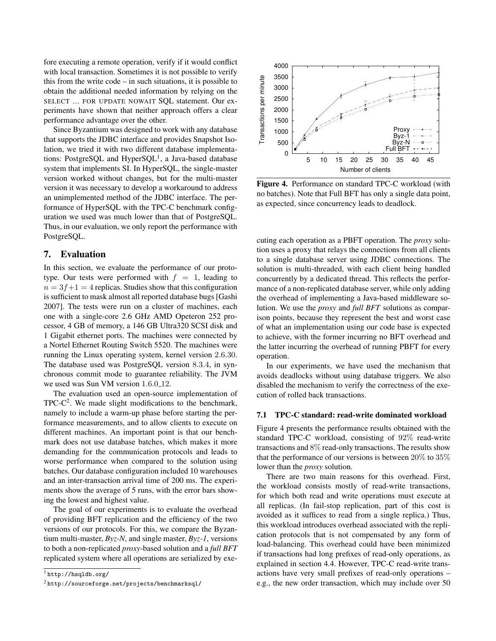fore executing a remote operation, verify if it would conflict with local transaction. Sometimes it is not possible to verify this from the write code – in such situations, it is possible to obtain the additional needed information by relying on the SELECT ... FOR UPDATE NOWAIT SQL statement. Our experiments have shown that neither approach offers a clear performance advantage over the other.

Since Byzantium was designed to work with any database that supports the JDBC interface and provides Snapshot Isolation, we tried it with two different database implementations: PostgreSQL and HyperSQL<sup>1</sup>, a Java-based database system that implements SI. In HyperSQL, the single-master version worked without changes, but for the multi-master version it was necessary to develop a workaround to address an unimplemented method of the JDBC interface. The performance of HyperSQL with the TPC-C benchmark configuration we used was much lower than that of PostgreSQL. Thus, in our evaluation, we only report the performance with PostgreSQL.

## 7. Evaluation

In this section, we evaluate the performance of our prototype. Our tests were performed with  $f = 1$ , leading to  $n = 3f+1 = 4$  replicas. Studies show that this configuration is sufficient to mask almost all reported database bugs [Gashi 2007]. The tests were run on a cluster of machines, each one with a single-core 2.6 GHz AMD Opeteron 252 processor, 4 GB of memory, a 146 GB Ultra320 SCSI disk and 1 Gigabit ethernet ports. The machines were connected by a Nortel Ethernet Routing Switch 5520. The machines were running the Linux operating system, kernel version 2.6.30. The database used was PostgreSQL version 8.3.4, in synchronous commit mode to guarantee reliability. The JVM we used was Sun VM version 1.6.0<sub>-12</sub>.

The evaluation used an open-source implementation of TPC- $C^2$ . We made slight modifications to the benchmark, namely to include a warm-up phase before starting the performance measurements, and to allow clients to execute on different machines. An important point is that our benchmark does not use database batches, which makes it more demanding for the communication protocols and leads to worse performance when compared to the solution using batches. Our database configuration included 10 warehouses and an inter-transaction arrival time of 200 ms. The experiments show the average of 5 runs, with the error bars showing the lowest and highest value.

The goal of our experiments is to evaluate the overhead of providing BFT replication and the efficiency of the two versions of our protocols. For this, we compare the Byzantium multi-master, *Byz-N*, and single master, *Byz-1*, versions to both a non-replicated *proxy*-based solution and a *full BFT* replicated system where all operations are serialized by exe-

<sup>1</sup> http://hsqldb.org/



Figure 4. Performance on standard TPC-C workload (with no batches). Note that Full BFT has only a single data point, as expected, since concurrency leads to deadlock.

cuting each operation as a PBFT operation. The *proxy* solution uses a proxy that relays the connections from all clients to a single database server using JDBC connections. The solution is multi-threaded, with each client being handled concurrently by a dedicated thread. This reflects the performance of a non-replicated database server, while only adding the overhead of implementing a Java-based middleware solution. We use the *proxy* and *full BFT* solutions as comparison points, because they represent the best and worst case of what an implementation using our code base is expected to achieve, with the former incurring no BFT overhead and the latter incurring the overhead of running PBFT for every operation.

In our experiments, we have used the mechanism that avoids deadlocks without using database triggers. We also disabled the mechanism to verify the correctness of the execution of rolled back transactions.

#### 7.1 TPC-C standard: read-write dominated workload

Figure 4 presents the performance results obtained with the standard TPC-C workload, consisting of 92% read-write transactions and 8% read-only transactions. The results show that the performance of our versions is between 20% to 35% lower than the *proxy* solution.

There are two main reasons for this overhead. First, the workload consists mostly of read-write transactions, for which both read and write operations must execute at all replicas. (In fail-stop replication, part of this cost is avoided as it suffices to read from a single replica.) Thus, this workload introduces overhead associated with the replication protocols that is not compensated by any form of load-balancing. This overhead could have been minimized if transactions had long prefixes of read-only operations, as explained in section 4.4. However, TPC-C read-write transactions have very small prefixes of read-only operations – e.g., the new order transaction, which may include over 50

<sup>2</sup> http://sourceforge.net/projects/benchmarksql/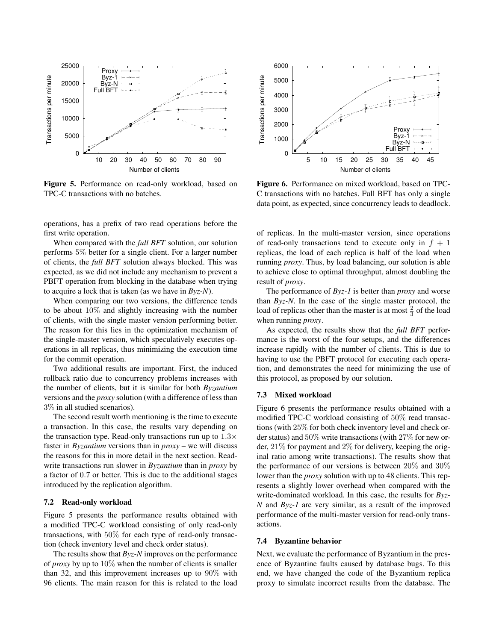

Figure 5. Performance on read-only workload, based on TPC-C transactions with no batches.

operations, has a prefix of two read operations before the first write operation.

When compared with the *full BFT* solution, our solution performs 5% better for a single client. For a larger number of clients, the *full BFT* solution always blocked. This was expected, as we did not include any mechanism to prevent a PBFT operation from blocking in the database when trying to acquire a lock that is taken (as we have in *Byz-N*).

When comparing our two versions, the difference tends to be about 10% and slightly increasing with the number of clients, with the single master version performing better. The reason for this lies in the optimization mechanism of the single-master version, which speculatively executes operations in all replicas, thus minimizing the execution time for the commit operation.

Two additional results are important. First, the induced rollback ratio due to concurrency problems increases with the number of clients, but it is similar for both *Byzantium* versions and the *proxy* solution (with a difference of less than 3% in all studied scenarios).

The second result worth mentioning is the time to execute a transaction. In this case, the results vary depending on the transaction type. Read-only transactions run up to  $1.3\times$ faster in *Byzantium* versions than in *proxy* – we will discuss the reasons for this in more detail in the next section. Readwrite transactions run slower in *Byzantium* than in *proxy* by a factor of 0.7 or better. This is due to the additional stages introduced by the replication algorithm.

## 7.2 Read-only workload

Figure 5 presents the performance results obtained with a modified TPC-C workload consisting of only read-only transactions, with 50% for each type of read-only transaction (check inventory level and check order status).

The results show that *Byz-N* improves on the performance of *proxy* by up to 10% when the number of clients is smaller than 32, and this improvement increases up to 90% with 96 clients. The main reason for this is related to the load



Figure 6. Performance on mixed workload, based on TPC-C transactions with no batches. Full BFT has only a single data point, as expected, since concurrency leads to deadlock.

of replicas. In the multi-master version, since operations of read-only transactions tend to execute only in  $f + 1$ replicas, the load of each replica is half of the load when running *proxy*. Thus, by load balancing, our solution is able to achieve close to optimal throughput, almost doubling the result of *proxy*.

The performance of *Byz-1* is better than *proxy* and worse than *Byz-N*. In the case of the single master protocol, the load of replicas other than the master is at most  $\frac{2}{3}$  of the load when running *proxy*.

As expected, the results show that the *full BFT* performance is the worst of the four setups, and the differences increase rapidly with the number of clients. This is due to having to use the PBFT protocol for executing each operation, and demonstrates the need for minimizing the use of this protocol, as proposed by our solution.

#### 7.3 Mixed workload

Figure 6 presents the performance results obtained with a modified TPC-C workload consisting of 50% read transactions (with 25% for both check inventory level and check order status) and 50% write transactions (with 27% for new order, 21% for payment and 2% for delivery, keeping the original ratio among write transactions). The results show that the performance of our versions is between 20% and 30% lower than the *proxy* solution with up to 48 clients. This represents a slightly lower overhead when compared with the write-dominated workload. In this case, the results for *Byz-N* and *Byz-1* are very similar, as a result of the improved performance of the multi-master version for read-only transactions.

#### 7.4 Byzantine behavior

Next, we evaluate the performance of Byzantium in the presence of Byzantine faults caused by database bugs. To this end, we have changed the code of the Byzantium replica proxy to simulate incorrect results from the database. The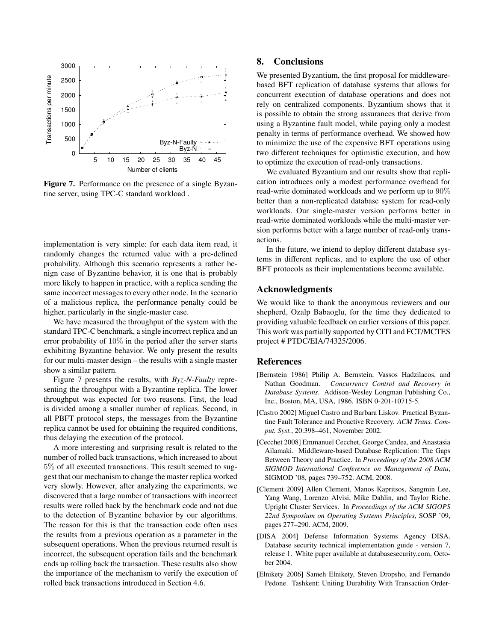

Figure 7. Performance on the presence of a single Byzantine server, using TPC-C standard workload .

implementation is very simple: for each data item read, it randomly changes the returned value with a pre-defined probability. Although this scenario represents a rather benign case of Byzantine behavior, it is one that is probably more likely to happen in practice, with a replica sending the same incorrect messages to every other node. In the scenario of a malicious replica, the performance penalty could be higher, particularly in the single-master case.

We have measured the throughput of the system with the standard TPC-C benchmark, a single incorrect replica and an error probability of 10% in the period after the server starts exhibiting Byzantine behavior. We only present the results for our multi-master design – the results with a single master show a similar pattern.

Figure 7 presents the results, with *Byz-N-Faulty* representing the throughput with a Byzantine replica. The lower throughput was expected for two reasons. First, the load is divided among a smaller number of replicas. Second, in all PBFT protocol steps, the messages from the Byzantine replica cannot be used for obtaining the required conditions, thus delaying the execution of the protocol.

A more interesting and surprising result is related to the number of rolled back transactions, which increased to about 5% of all executed transactions. This result seemed to suggest that our mechanism to change the master replica worked very slowly. However, after analyzing the experiments, we discovered that a large number of transactions with incorrect results were rolled back by the benchmark code and not due to the detection of Byzantine behavior by our algorithms. The reason for this is that the transaction code often uses the results from a previous operation as a parameter in the subsequent operations. When the previous returned result is incorrect, the subsequent operation fails and the benchmark ends up rolling back the transaction. These results also show the importance of the mechanism to verify the execution of rolled back transactions introduced in Section 4.6.

# 8. Conclusions

We presented Byzantium, the first proposal for middlewarebased BFT replication of database systems that allows for concurrent execution of database operations and does not rely on centralized components. Byzantium shows that it is possible to obtain the strong assurances that derive from using a Byzantine fault model, while paying only a modest penalty in terms of performance overhead. We showed how to minimize the use of the expensive BFT operations using two different techniques for optimistic execution, and how to optimize the execution of read-only transactions.

We evaluated Byzantium and our results show that replication introduces only a modest performance overhead for read-write dominated workloads and we perform up to 90% better than a non-replicated database system for read-only workloads. Our single-master version performs better in read-write dominated workloads while the multi-master version performs better with a large number of read-only transactions.

In the future, we intend to deploy different database systems in different replicas, and to explore the use of other BFT protocols as their implementations become available.

# Acknowledgments

We would like to thank the anonymous reviewers and our shepherd, Ozalp Babaoglu, for the time they dedicated to providing valuable feedback on earlier versions of this paper. This work was partially supported by CITI and FCT/MCTES project # PTDC/EIA/74325/2006.

## References

- [Bernstein 1986] Philip A. Bernstein, Vassos Hadzilacos, and Nathan Goodman. *Concurrency Control and Recovery in Database Systems*. Addison-Wesley Longman Publishing Co., Inc., Boston, MA, USA, 1986. ISBN 0-201-10715-5.
- [Castro 2002] Miguel Castro and Barbara Liskov. Practical Byzantine Fault Tolerance and Proactive Recovery. *ACM Trans. Comput. Syst.*, 20:398–461, November 2002.
- [Cecchet 2008] Emmanuel Cecchet, George Candea, and Anastasia Ailamaki. Middleware-based Database Replication: The Gaps Between Theory and Practice. In *Proceedings of the 2008 ACM SIGMOD International Conference on Management of Data*, SIGMOD '08, pages 739–752. ACM, 2008.
- [Clement 2009] Allen Clement, Manos Kapritsos, Sangmin Lee, Yang Wang, Lorenzo Alvisi, Mike Dahlin, and Taylor Riche. Upright Cluster Services. In *Proceedings of the ACM SIGOPS 22nd Symposium on Operating Systems Principles*, SOSP '09, pages 277–290. ACM, 2009.
- [DISA 2004] Defense Information Systems Agency DISA. Database security technical implementation guide - version 7, release 1. White paper available at databasesecurity.com, October 2004.
- [Elnikety 2006] Sameh Elnikety, Steven Dropsho, and Fernando Pedone. Tashkent: Uniting Durability With Transaction Order-